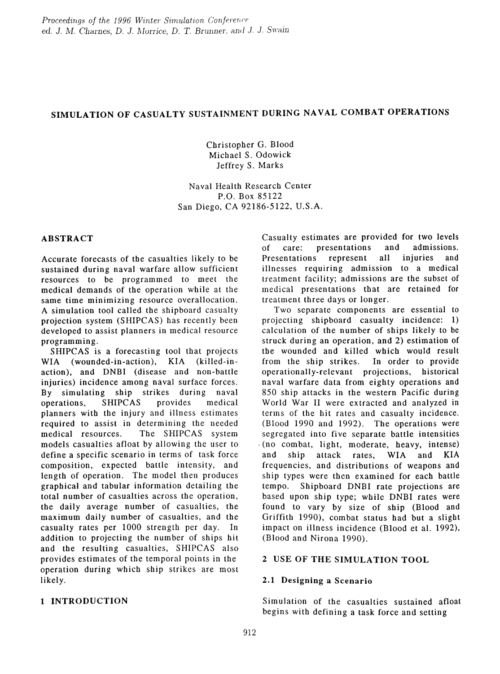# SIMULATION OF CASUALTY SUSTAINMENT DURING NAVAL COMBAT OPERATIONS

Christopher G. Blood Michael S. Odowick Jeffrey S. Marks

Naval Health Research Center P.O. Box 85122 San Diego, CA 92186-5122, U.S.A.

### ABSTRACT

Accurate forecasts of the casualties likely to be sustained during naval warfare allow sufficient resources to be programmed to meet the medical demands of the operation while at the same time minimizing resource overallocation. A simulation tool called the shipboard casualty projection system (SHIPCAS) has recently been developed to assist planners in medical resource programming.

SHIPCAS is a forecasting tool that projects WIA (wounded-in-action), KIA (killed-inaction), and DNBI (disease and non-battle injuries) incidence among naval surface forces. By simulating ship strikes during naval operations, SHIPCAS provides medical planners with the injury and illness estimates required to assist in determining the needed medical resources. The SHIPCAS system models casualties afloat by allowing the user to define a specific scenario in terms of task force composition, expected battle intensity, and length of operation. The model then produces graphical and tabular information detailing the total number of casualties across the operation, the daily average number of casualties, the maximum daily number of casualties, and the casualty rates per 1000 strength per day. In addition to projecting the number of ships hit and the resulting casualties, SHIPCAS also provides estimates of the temporal points in the operation during which ship strikes are most likely.

### 1 INTRODUCTION

Casualty estimates are provided for two levels<br>of care: presentations and admissions. of care: presentations and admis<br>Presentations represent all injuries Presentations represent all injuries and illnesses requiring admission to a medical treatment facility; admissions are the subset of medical presentations that are retained for treatment three days or longer.

Two separate components are essential to projecting shipboard casualty incidence: 1) calculation of the number of ships likely to be struck during an operation, and 2) estimation of the wounded and killed which would result from the ship strikes. In order to provide operationally-relevant projections, historical naval warfare data from eighty operations and 850 ship attacks in the western Pacific during World War II were extracted and analyzed in terms of the hit rates and casualty incidence. (Blood 1990 and 1992). The operations were segregated into five separate battle intensities  $(no$  combat, light, moderate, heavy, intense) and ship attack rates, WIA and KIA frequencies, and distributions of weapons and ship types were then examined for each battle tempo. Shipboard DNBI rate projections are based upon ship type; while DNBI rates were found to vary by size of ship (Blood and Griffith 1990), combat status had but a slight impact on illness incidence (Blood et al. 1992), (Blood and Nirona 1990).

### 2 USE OF THE SIMULATION TOOL

### 2.1 Designing a Scenario

Simulation of the casualties sustained afloat begins with defining a task force and setting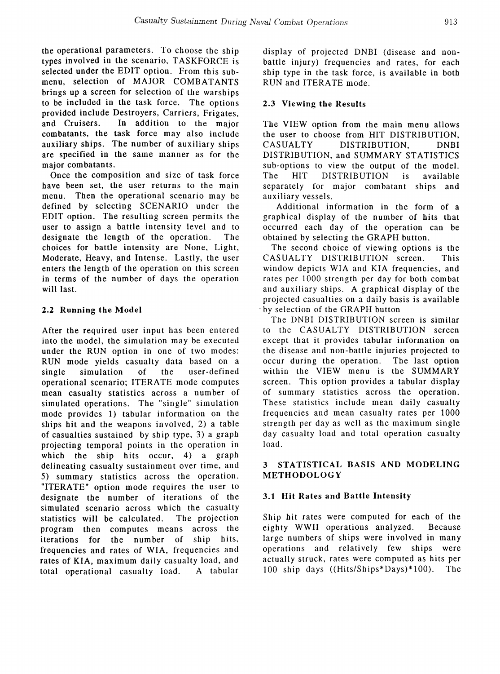the operational parameters. To choose the ship types involved in the scenario, TASKFORCE is selected under the EDIT option. From this submenu, selection of MAJOR COMBATANTS brings up a screen for selection of the warships to be included in the task force. The options provided include Destroyers, Carriers, Frigates, and Cruisers. In addition to the major combatants, the task force may also include auxiliary ships. The number of auxiliary ships are specified in the same manner as for tbe major combatants.

Once the composition and size of task force have been set, the user returns to the main menu. Then the operational scenario may be defined by selecting SCENARIO under the EDIT option. The resulting screen permits the user to assign a battle intensity level and to designate the length of the operation. The choices for battle intensity are None, Light, Moderate, Heavy, and Intense. Lastly, the user enters the length of the operation on this screen in terms of the number of days the operation will last.

# 2.2 Running the Model

After the required user input has been entered into the model, the simulation may be executed under the RUN option in one of two modes: RUN mode yields casualty data based on a single simulation of the user-defined operational scenario; ITERATE mode computes mean casualty statistics across a number of simulated operations. The "single" simulation mode provides 1) tabular information on the ships hit and the weapons involved, 2) a table of casualties sustained by ship type, 3) a graph projecting temporal points in the operation in which the ship hits occur, 4) a graph delineating casualty sustainment over time, and 5) summary statistics across the operation. "ITERATE" option mode requires the user to designate the number of iterations of the simulated scenario across which the casualty statistics will be calculated. The projection program then computes means across the iterations for the number of sbip bits, frequencies and rates of WIA, frequencies and rates of KIA, maximum daily casualty load, and total operational casualty load. A tabular

display of projected DNBI (disease and nonbattle injury) frequencies and rates, for each ship type in the task force, is available in both RUN and ITERATE mode.

# 2.3 Viewing the Results

The VIEW option from the main menu allows the user to choose from HIT DISTRIBUTION, CASUALTY DISTRIBUTION, DNBI DISTRIBUTION, and SUMMARY STATISTICS sub-options to view the output of the model. The HIT DISTRIBUTION is available separately for major combatant sbips and auxiliary vessels.

Additional information in the form of a graphical display of the number of hits that occurred each day of the operation can be obtained by selecting the GRAPH button.

The second choice of viewing options is the CASUALTY DISTRIBUTION screen. This window depicts WIA and KIA frequencies, and rates per 1000 strength per day for both combat and auxiliary ships. A graphical display of the projected casualties on a daily basis is available . by selection of the GRAPH button

The DNBI DISTRIBUTION screen is similar to the CASUALTY DISTRIBUTION screen except that it provides tabular information on the disease and non-battle injuries projected to occur during the operation. The last option within the VIEW menu is the SUMMARY screen. This option provides a tabular display of summary statistics across the operation. These statistics include mean daily casualty frequencies and mean casualty rates per 1000 strength per day as well as the maximum single day casualty load and total operation casualty load.

# 3 STATISTICAL BASIS AND MODELING METHODOLOGY

# 3.1 Hit Rates and Battle Intensity

Ship bit rates were computed for each of the eighty WWII operations analyzed. Because large numbers of ships were involved in many operations and relatively few ships were actually struck, rates were computed as hits per 100 ship days ((Hits/Ships\*Days)\*100). The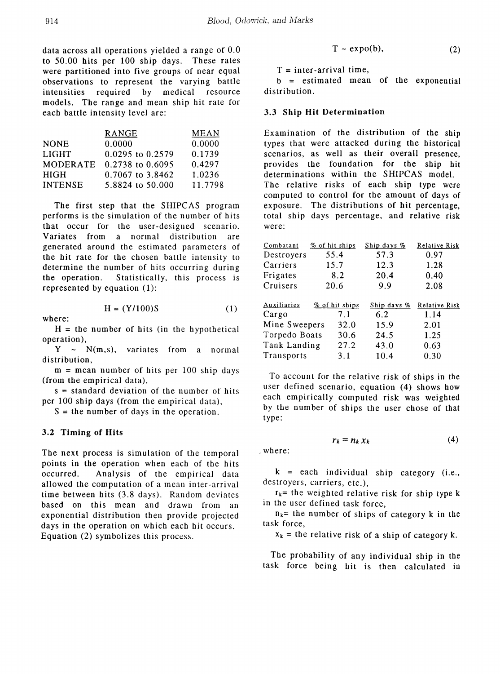data across all operations yielded a range of 0.0 to 50.00 hits per 100 ship days. These rates were partitioned into five groups of near equal observations to represent the varying battle intensities required by medical resource models. The range and mean ship hit rate for each battle intensity level are:

|                 | RANGE            | MEAN    |
|-----------------|------------------|---------|
| <b>NONE</b>     | 0.0000           | 0.0000  |
| <b>LIGHT</b>    | 0.0295 to 0.2579 | 0.1739  |
| <b>MODERATE</b> | 0.2738 to 0.6095 | 0.4297  |
| <b>HIGH</b>     | 0.7067 to 3.8462 | 1.0236  |
| <b>INTENSE</b>  | 5.8824 to 50.000 | 11.7798 |

The first step that the SHIPCAS program performs is the simulation of the number of hits that occur for the user-designed scenario. Variates from a normal distribution are generated around the estimated parameters of the hit rate for the chosen battle intensity to determine the number of hits occurring during the operation. Statistically, this process is represented by equation  $(1)$ :

$$
H = (Y/100)S \tag{1}
$$

 $H =$  the number of hits (in the hypothetical operation),

 $Y \sim N(m,s)$ , variates from a normal distribution,

 $m =$  mean number of hits per 100 ship days (from the empirical data),

 $s =$  standard deviation of the number of hits per 100 ship days (from the empirical data),

 $S =$  the number of days in the operation.

## 3.2 Timing of Hits

where:

The next process is simulation of the temporal points in the operation when each of the hits occurred. Analysis of the empirical data allowed the computation of a mean inter-arrival time between bits (3.8 days). Random deviates based on this mean and drawn from an exponential distribution then provide projected days in the operation on which each hit occurs. Equation  $(2)$  symbolizes this process.

$$
T \sim \exp(o(b), \tag{2}
$$

 $T =$  inter-arrival time,

 $b =$  estimated mean of the exponential distribution.

#### 3.3 Ship Hit Determination

Examination of the distribution of the ship types that were attacked during the historical scenarios, as well as their overall presence, provides the foundation for the ship hit determinations within tbe SHIPCAS model. The relative risks of each ship type were computed to control for the amount of days of exposure. The distributions of hit percentage, total ship days percentage, and relative risk were:

| Combatant     | % of hit ships | Ship days % | Relative Risk |
|---------------|----------------|-------------|---------------|
| Destroyers    | 55.4           | 57.3        | 0.97          |
| Carriers      | 15.7           | 12.3        | 1.28          |
| Frigates      | 8.2            | 20.4        | 0.40          |
| Cruisers      | 20.6           | 9.9         | 2.08          |
|               |                |             |               |
| Auxiliaries   | % of hit ships | Ship days % | Relative Risk |
| Cargo         | 7.1            | 6.2         | 1.14          |
| Mine Sweepers | 32.0           | 15.9        | 2.01          |
| Torpedo Boats | 30.6           | 24.5        | 1.25          |
| Tank Landing  | 27.2           | 43.0        | 0.63          |

To account for the relative risk of ships in the user defined scenario, equation (4) shows how each empirically computed risk was weighted by the number of ships the user chose of that type:

$$
r_k = n_k x_k \tag{4}
$$

. where:

 $k =$  each individual ship category (i.e., destroyers, carriers, etc.),

 $r_k$ = the weighted relative risk for ship type k in the user defined task force,

 $n_k$ = the number of ships of category k in the task force,

 $x_k$  = the relative risk of a ship of category k.

The probability of any individual ship in the task force being hit is then calculated in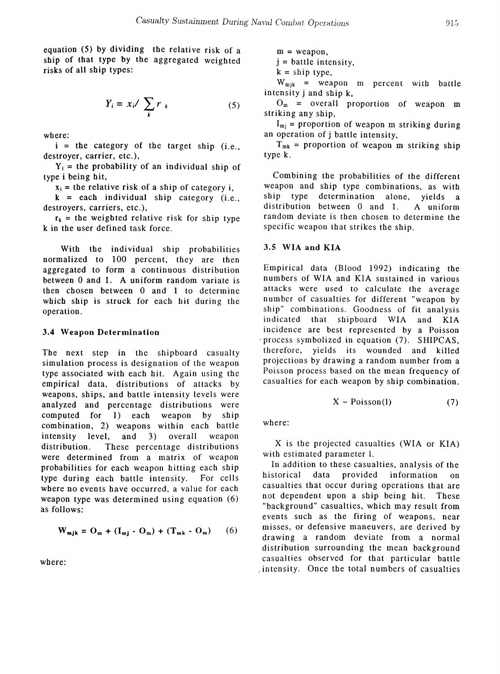equation (5) by dividing the relative risk of a ship of that type by the aggregated weighted risks of all ship types:

$$
Y_i = x_i / \sum_k r_k \tag{5}
$$

where:

 $i =$  the category of the target ship (i.e., destroyer, carrier, etc.),

 $Y_i$  = the probability of an individual ship of type i being hit,

 $x_i$  = the relative risk of a ship of category i,

 $k = each individual ship category (i.e.,$ destroyers, carriers, etc.),

 $r_k$  = the weighted relative risk for ship type k in the user defined task force.

With the individual ship probabilities normalized to 100 percent, they are then aggregated to form a continuous distribution between 0 and 1. A uniform random variate is then chosen between 0 and 1 to determine which ship is struck for each hit during the operation.

#### 3.4 Weapon Determination

The next step in the shipboard casualty simulation process is designation of the weapon type associated with each hit. Again using the empirical data, distributions of attacks by weapons, ships, and battle intensity levels were analyzed and percentage distributions were computed for 1) each weapon by ship combination, 2) weapons within each battle intensity level, and 3) overall weapon distribution. These percentage distributions were determined from a matrix of weapon probabilities for each weapon hitting each ship type during each battle intensity. For cells where no events have occurred, a value for each weapon type was determined using equation (6) as follows:

$$
\mathbf{W}_{\mathbf{m}j\mathbf{k}} = \mathbf{O}_{\mathbf{m}} + (\mathbf{I}_{\mathbf{m}j} \cdot \mathbf{O}_{\mathbf{m}}) + (\mathbf{T}_{\mathbf{m}\mathbf{k}} \cdot \mathbf{O}_{\mathbf{m}}) \qquad (6)
$$

where:

 $m =$  weapon,

 $j =$  battle intensity,

 $k =$ ship type,

 $W_{mjk}$  = weapon m percent with battle intensity j and ship k,

 $O_m$  = overall proportion of weapon m striking any ship,

 $I_{mj}$  = proportion of weapon m striking during an operation of j battle intensity,

 $T_{mk}$  = proportion of weapon m striking ship type k.

Combining the probabilities of the different weapon and ship type combinations, as with ship type determination alone, yields a distribution between  $0$  and  $1$ . A uniform random deviate is then chosen to determine the specific weapon that strikes the ship.

#### 3.5 WIA and KIA

Empirical data (Blood 1992) indicating the numbers of WIA and KIA sustained in various attacks were used to calculate the average number of casualties for different "weapon by ship" combinations. Goodness of fit analysis indicated that shipboard WIA and KIA incidence are best represented by a Poisson . process symbolized in equation (7). SHIPCAS, therefore, yields its wounded and killed projections by drawing a random number from a Poisson process based on the mean frequency of casualties for each weapon by ship combination.

$$
X \sim \text{Poisson}(l) \tag{7}
$$

where:

X is tbe projected casualties (WIA or KIA) with estimated parameter 1.

In addition to these casualties, analysis of the historical data provided information on casualties that occur during operations that are not dependent upon a ship being hit. These "background" casualties, which may result from events such as the firing of weapons, near misses, or defensive maneuvers, are derived by drawing a random deviate from a normal distribution surrounding the mean background casualties observed for tbat particular battle . intensity. Once the total numbers of casualties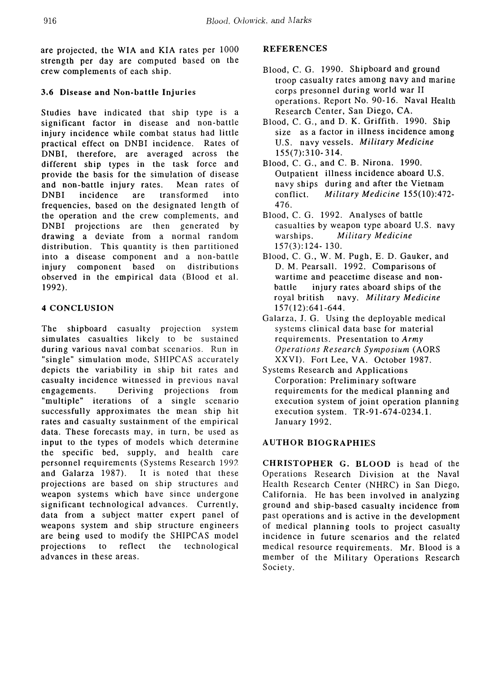are projected, the WIA and KIA rates per 1000 strength per day are computed based on the crew complements of each ship.

# 3.6 Disease and Non-battle Injuries

Studies have indicated that ship type is a significant factor in disease and non-battle injury incidence while combat status had little practical effect on DNBI incidence. Rates of DNBI, therefore, are averaged across the different ship types in the task force and provide the basis for the simulation of disease and non-battle injury rates. Mean rates of DNBI incidence are transformed into frequencies, based on the designated length of the operation and the crew complements, and DNBI projections are then generated by drawing a deviate from a normal random distribution. This quantity is then partitioned into a disease component and a non-battle injury component based on distributions observed in the empirical data (Blood et al. 1992).

# 4 CONCLUSION

The shipboard casualty projection system simulates casualties likely to be sustained during various naval combat scenarios. Run in "single" simulation mode, SHIPCAS accurately depicts the variability in ship hit rates and casualty incidence witnessed in previous naval engagements. Deriving projections from "multiple" iterations of a single scenario successfully approximates the mean ship hit rates and casualty sustainment of the empirical data. These forecasts may, in turn, be used as input to the types of models which determine the specific bed, supply, and health care personnel requirements (Systems Research 1992 and Galarza 1987). It is noted that these projections are based on ship structures and weapon systems which have since undergone significant technological advances. Currently, data from a subject matter expert panel of weapons system and ship structure engineers are being used to modify the SHIPCAS model projections to reflect the technological advances in these areas.

# REFERENCES

- Blood, C. G. 1990. Shipboard and ground troop casualty rates among navy and marine corps presonnel during world war II operations. Report No. 90-16. Naval Health Research Center, San Diego, CA.
- Blood, C. G., and D. K. Griffith. 1990. Ship size as a factor in illness incidence among U.S. navy vessels. *Military Medicine* 155(7):310- 314.
- Blood, C. G., and C. B. Nirona. 1990. Outpatient illness incidence aboard U.S. navy ships during and after the Vietnam conflict. *Military Medicine 155(10):472-* 476.
- Blood, C. G. 1992. Analyses of battle casualties by weapon type aboard U.S. navy warships. *Military Medicine* 157(3):124- 130.
- Blood, C. G., W. M. Pugh, E. D. Gauker, and D. M. Pearsall. 1992. Comparisons of wartime and peacetime disease and nonbattle injury rates aboard ships of the royal british navy. *Military Medicine* 157( 12):641-644.
- Galarza, J. G. Using the deployable medical systems clinical data base for material requirements. Presentation to *Army* Operations Research Symposium (AORS XXVI). Fort Lee, VA. October 1987.
- Systems Research and Applications Corporation: Preliminary software requirements for the medical planning and execution system of joint operation planning execution system. TR-91-674-0234.1. January 1992.

# AUTHOR BIOGRAPHIES

CHRISTOPHER G. BLOOD is head of the Operations Research Division at the Naval Health Research Center (NHRC) in San Diego, California. He has been involved in analyzing ground and ship-based casualty incidence from past operations and is active in the development of medical planning tools to project casualty incidence in future scenarios and the related medical resource requirements. Mr. Blood is a member of the Military Operations Research Society.